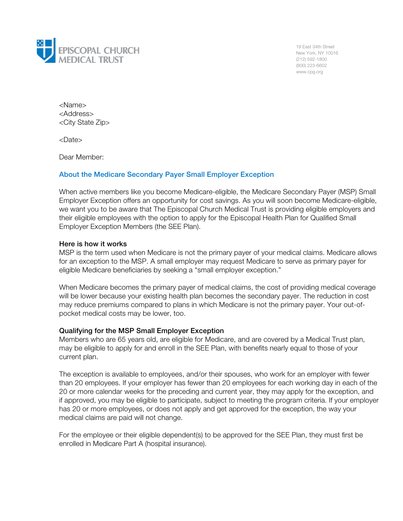

19 East 34th Street New York, NY 10016 (212) 592-1800 (800) 223-6602 www.cpg.org

<Name> <Address> <City State Zip>

<Date>

Dear Member:

### About the Medicare Secondary Payer Small Employer Exception

When active members like you become Medicare-eligible, the Medicare Secondary Payer (MSP) Small Employer Exception offers an opportunity for cost savings. As you will soon become Medicare-eligible, we want you to be aware that The Episcopal Church Medical Trust is providing eligible employers and their eligible employees with the option to apply for the Episcopal Health Plan for Qualified Small Employer Exception Members (the SEE Plan).

### Here is how it works

MSP is the term used when Medicare is not the primary payer of your medical claims. Medicare allows for an exception to the MSP. A small employer may request Medicare to serve as primary payer for eligible Medicare beneficiaries by seeking a "small employer exception."

When Medicare becomes the primary payer of medical claims, the cost of providing medical coverage will be lower because your existing health plan becomes the secondary payer. The reduction in cost may reduce premiums compared to plans in which Medicare is not the primary payer. Your out-ofpocket medical costs may be lower, too.

### Qualifying for the MSP Small Employer Exception

Members who are 65 years old, are eligible for Medicare, and are covered by a Medical Trust plan, may be eligible to apply for and enroll in the SEE Plan, with benefits nearly equal to those of your current plan.

The exception is available to employees, and/or their spouses, who work for an employer with fewer than 20 employees. If your employer has fewer than 20 employees for each working day in each of the 20 or more calendar weeks for the preceding and current year, they may apply for the exception, and if approved, you may be eligible to participate, subject to meeting the program criteria. If your employer has 20 or more employees, or does not apply and get approved for the exception, the way your medical claims are paid will not change.

For the employee or their eligible dependent(s) to be approved for the SEE Plan, they must first be enrolled in Medicare Part A (hospital insurance).